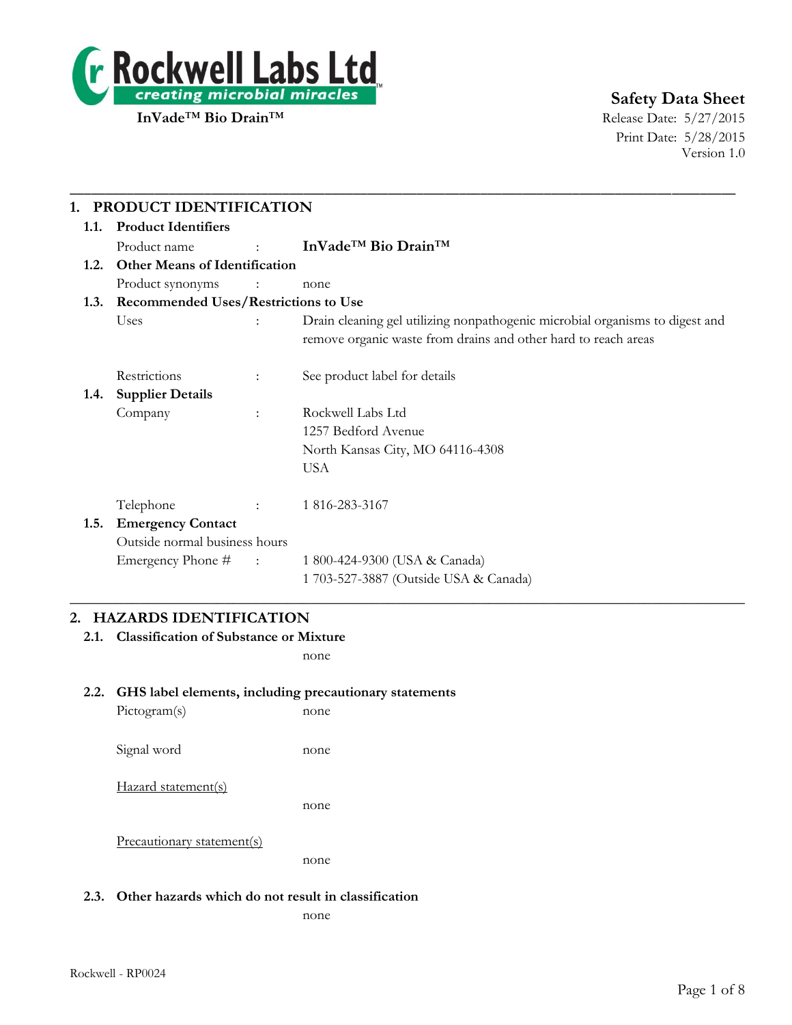

# **Safety Data Sheet**

Print Date: 5/28/2015 Version 1.0

| 1.1.                                      | PRODUCT IDENTIFICATION<br><b>Product Identifiers</b> |                             |                                                                                                                                                |  |  |
|-------------------------------------------|------------------------------------------------------|-----------------------------|------------------------------------------------------------------------------------------------------------------------------------------------|--|--|
|                                           | Product name                                         | <b>Service State</b>        | InVade <sup>™</sup> Bio Drain <sup>™</sup>                                                                                                     |  |  |
| 1.2.                                      | <b>Other Means of Identification</b>                 |                             |                                                                                                                                                |  |  |
|                                           | Product synonyms                                     | $\sim$ $\sim$ $\sim$ $\sim$ | none                                                                                                                                           |  |  |
| 1.3. Recommended Uses/Restrictions to Use |                                                      |                             |                                                                                                                                                |  |  |
|                                           | Uses                                                 |                             | Drain cleaning gel utilizing nonpathogenic microbial organisms to digest and<br>remove organic waste from drains and other hard to reach areas |  |  |
|                                           | Restrictions                                         | ÷                           | See product label for details                                                                                                                  |  |  |
| 1.4.                                      | <b>Supplier Details</b>                              |                             |                                                                                                                                                |  |  |
|                                           | Company                                              | $\ddot{\cdot}$              | Rockwell Labs Ltd                                                                                                                              |  |  |
|                                           |                                                      |                             | 1257 Bedford Avenue                                                                                                                            |  |  |
|                                           |                                                      |                             | North Kansas City, MO 64116-4308                                                                                                               |  |  |
|                                           |                                                      |                             | <b>USA</b>                                                                                                                                     |  |  |
|                                           | Telephone                                            |                             | 1 816-283-3167                                                                                                                                 |  |  |
| 1.5.                                      | <b>Emergency Contact</b>                             |                             |                                                                                                                                                |  |  |
|                                           | Outside normal business hours                        |                             |                                                                                                                                                |  |  |
|                                           | Emergency Phone #                                    | $-1.5$ and $-1.5$           | 1 800-424-9300 (USA & Canada)                                                                                                                  |  |  |
|                                           |                                                      |                             | 1 703-527-3887 (Outside USA & Canada)                                                                                                          |  |  |

## **2. HAZARDS IDENTIFICATION**

**2.1. Classification of Substance or Mixture**

none

## **2.2. GHS label elements, including precautionary statements**

| Pictogram(s)        | none |
|---------------------|------|
| Signal word         | none |
| Hazard statement(s) | none |
|                     |      |

Precautionary statement(s)

none

#### **2.3. Other hazards which do not result in classification**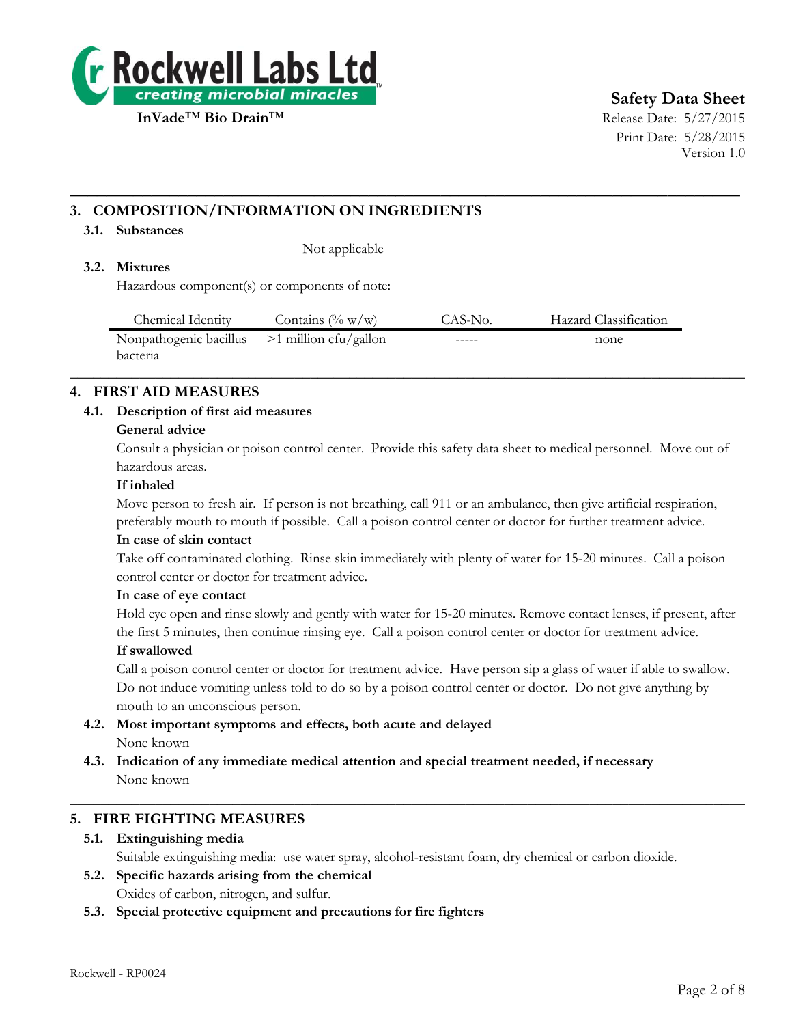

# **Safety Data Sheet**

Print Date: 5/28/2015 Version 1.0

## **3. COMPOSITION/INFORMATION ON INGREDIENTS**

#### **3.1. Substances**

Not applicable

## **3.2. Mixtures**

Hazardous component(s) or components of note:

| Chemical Identity                              | Contains $(\% w/w)$ | CAS-No. | Hazard Classification |
|------------------------------------------------|---------------------|---------|-----------------------|
| Nonpathogenic bacillus $>1$ million cfu/gallon |                     | -----   | none                  |
| <b>bacteria</b>                                |                     |         |                       |

 $\_$  , and the set of the set of the set of the set of the set of the set of the set of the set of the set of the set of the set of the set of the set of the set of the set of the set of the set of the set of the set of th

**\_\_\_\_\_\_\_\_\_\_\_\_\_\_\_\_\_\_\_\_\_\_\_\_\_\_\_\_\_\_\_\_\_\_\_\_\_\_\_\_\_\_\_\_\_\_\_\_\_\_\_\_\_\_\_\_\_\_\_\_\_\_\_\_\_\_\_\_\_\_\_\_\_\_**

## **4. FIRST AID MEASURES**

## **4.1. Description of first aid measures**

#### **General advice**

Consult a physician or poison control center. Provide this safety data sheet to medical personnel. Move out of hazardous areas.

#### **If inhaled**

Move person to fresh air. If person is not breathing, call 911 or an ambulance, then give artificial respiration, preferably mouth to mouth if possible. Call a poison control center or doctor for further treatment advice.

#### **In case of skin contact**

Take off contaminated clothing. Rinse skin immediately with plenty of water for 15-20 minutes. Call a poison control center or doctor for treatment advice.

#### **In case of eye contact**

Hold eye open and rinse slowly and gently with water for 15-20 minutes. Remove contact lenses, if present, after the first 5 minutes, then continue rinsing eye. Call a poison control center or doctor for treatment advice.

#### **If swallowed**

Call a poison control center or doctor for treatment advice. Have person sip a glass of water if able to swallow. Do not induce vomiting unless told to do so by a poison control center or doctor. Do not give anything by mouth to an unconscious person.

- **4.2. Most important symptoms and effects, both acute and delayed** None known
- **4.3. Indication of any immediate medical attention and special treatment needed, if necessary** None known

## **5. FIRE FIGHTING MEASURES**

## **5.1. Extinguishing media**

Suitable extinguishing media: use water spray, alcohol-resistant foam, dry chemical or carbon dioxide.

 $\_$  , and the set of the set of the set of the set of the set of the set of the set of the set of the set of the set of the set of the set of the set of the set of the set of the set of the set of the set of the set of th

- **5.2. Specific hazards arising from the chemical** Oxides of carbon, nitrogen, and sulfur.
- **5.3. Special protective equipment and precautions for fire fighters**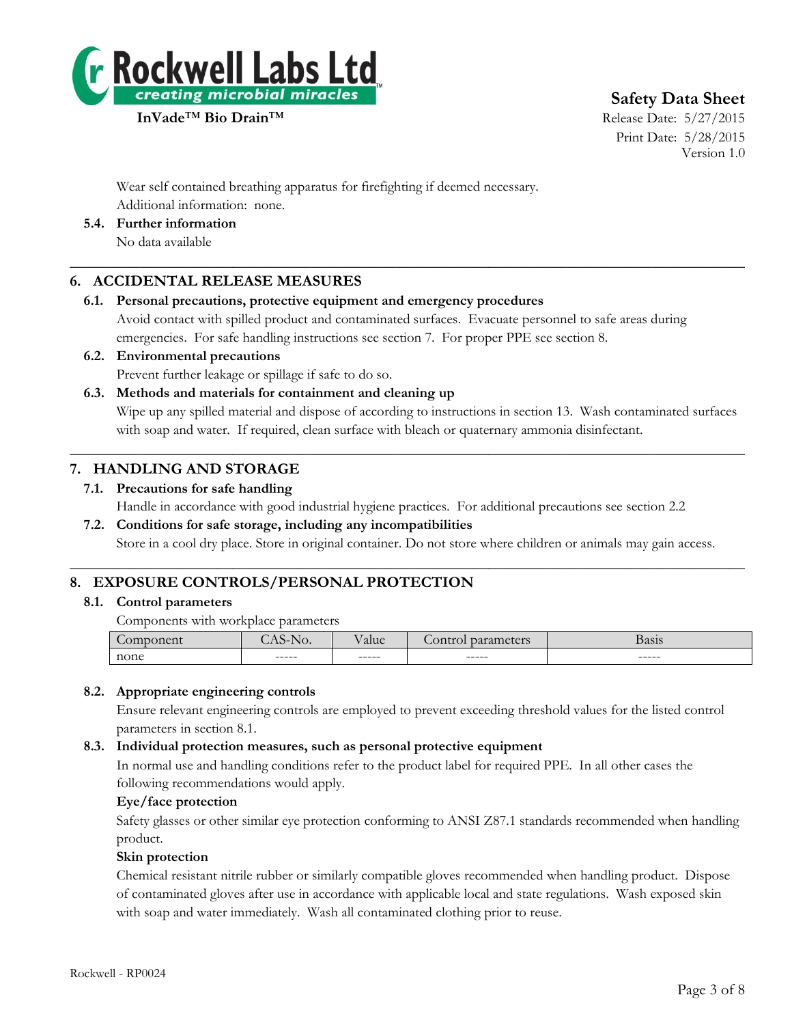

**Safety Data Sheet**

Print Date: 5/28/2015 Version 1.0

Wear self contained breathing apparatus for firefighting if deemed necessary. Additional information: none.

**5.4. Further information**

No data available

## **6. ACCIDENTAL RELEASE MEASURES**

## **6.1. Personal precautions, protective equipment and emergency procedures**

Avoid contact with spilled product and contaminated surfaces. Evacuate personnel to safe areas during emergencies. For safe handling instructions see section 7. For proper PPE see section 8.

 $\_$  , and the set of the set of the set of the set of the set of the set of the set of the set of the set of the set of the set of the set of the set of the set of the set of the set of the set of the set of the set of th

**6.2. Environmental precautions** Prevent further leakage or spillage if safe to do so.

## **6.3. Methods and materials for containment and cleaning up**

Wipe up any spilled material and dispose of according to instructions in section 13. Wash contaminated surfaces with soap and water. If required, clean surface with bleach or quaternary ammonia disinfectant.

## **7. HANDLING AND STORAGE**

## **7.1. Precautions for safe handling**

Handle in accordance with good industrial hygiene practices. For additional precautions see section 2.2

 $\_$  , and the set of the set of the set of the set of the set of the set of the set of the set of the set of the set of the set of the set of the set of the set of the set of the set of the set of the set of the set of th

 $\_$  , and the set of the set of the set of the set of the set of the set of the set of the set of the set of the set of the set of the set of the set of the set of the set of the set of the set of the set of the set of th

## **7.2. Conditions for safe storage, including any incompatibilities**

Store in a cool dry place. Store in original container. Do not store where children or animals may gain access.

## **8. EXPOSURE CONTROLS/PERSONAL PROTECTION**

## **8.1. Control parameters**

Components with workplace parameters

|      | <b>TV</b> | alue   | $-0.42$ | <b>Basis</b> |
|------|-----------|--------|---------|--------------|
| none | ------    | ------ | ------  | $------$     |

## **8.2. Appropriate engineering controls**

Ensure relevant engineering controls are employed to prevent exceeding threshold values for the listed control parameters in section 8.1.

## **8.3. Individual protection measures, such as personal protective equipment**

In normal use and handling conditions refer to the product label for required PPE. In all other cases the following recommendations would apply.

## **Eye/face protection**

Safety glasses or other similar eye protection conforming to ANSI Z87.1 standards recommended when handling product.

## **Skin protection**

Chemical resistant nitrile rubber or similarly compatible gloves recommended when handling product. Dispose of contaminated gloves after use in accordance with applicable local and state regulations. Wash exposed skin with soap and water immediately. Wash all contaminated clothing prior to reuse.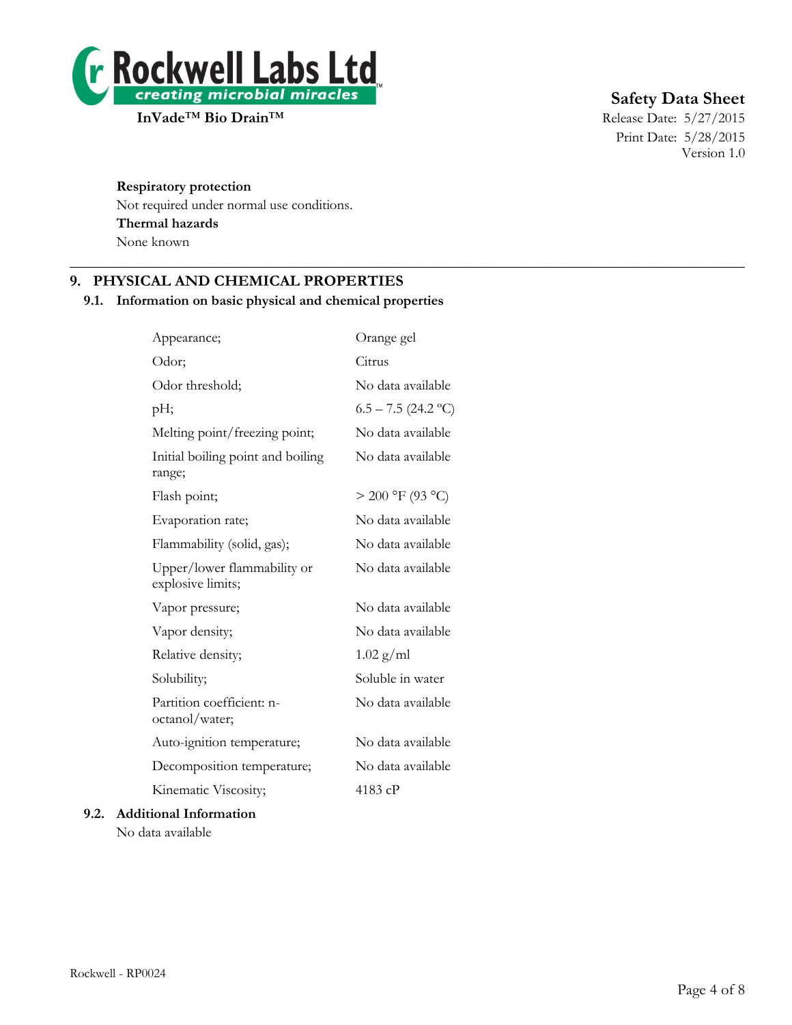

# **Safety Data Sheet**

Print Date: 5/28/2015 Version 1.0

#### **Respiratory protection**

Not required under normal use conditions. **Thermal hazards** None known

## **9. PHYSICAL AND CHEMICAL PROPERTIES**

## **9.1. Information on basic physical and chemical properties**

 $\_$  , and the set of the set of the set of the set of the set of the set of the set of the set of the set of the set of the set of the set of the set of the set of the set of the set of the set of the set of the set of th

| Appearance;                                      | Orange gel            |
|--------------------------------------------------|-----------------------|
| Odor;                                            | Citrus                |
| Odor threshold;                                  | No data available     |
| pH;                                              | $6.5 - 7.5$ (24.2 °C) |
| Melting point/freezing point;                    | No data available     |
| Initial boiling point and boiling<br>range;      | No data available     |
| Flash point;                                     | $> 200$ °F (93 °C)    |
| Evaporation rate;                                | No data available     |
| Flammability (solid, gas);                       | No data available     |
| Upper/lower flammability or<br>explosive limits; | No data available     |
| Vapor pressure;                                  | No data available     |
| Vapor density;                                   | No data available     |
| Relative density;                                | $1.02$ g/ml           |
| Solubility;                                      | Soluble in water      |
| Partition coefficient: n-<br>octanol/water;      | No data available     |
| Auto-ignition temperature;                       | No data available     |
| Decomposition temperature;                       | No data available     |
| Kinematic Viscosity;                             | 4183 cP               |
| 9.2. Additional Information                      |                       |

No data available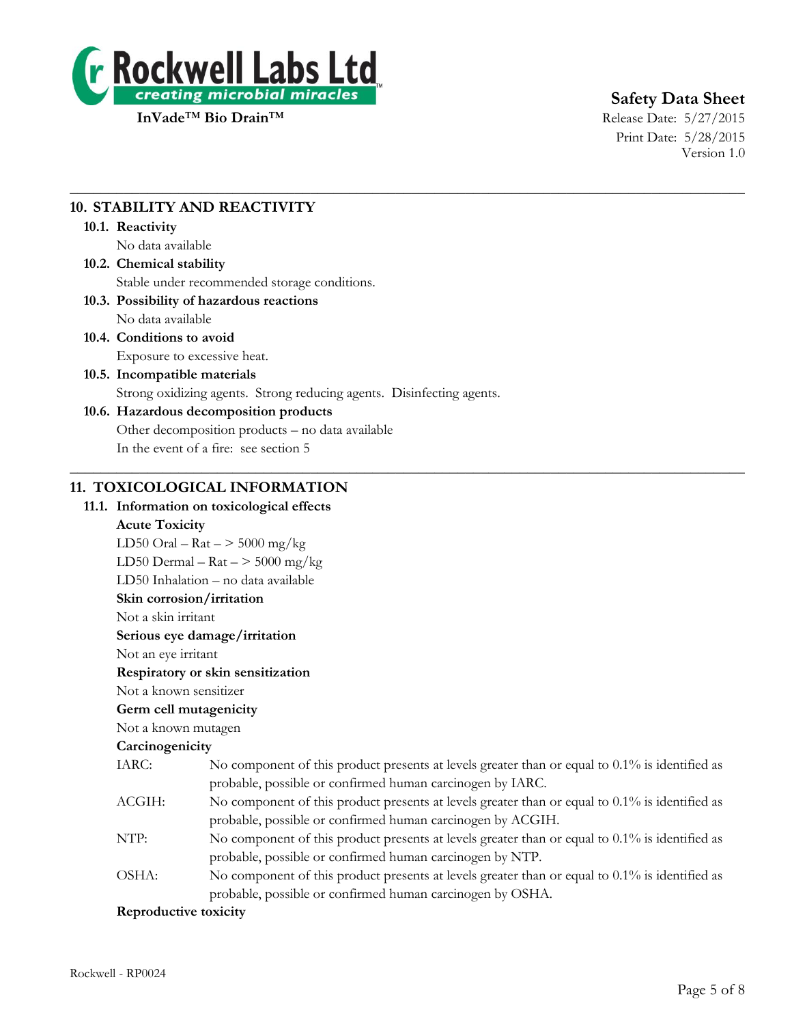

# **Safety Data Sheet**

Print Date: 5/28/2015 Version 1.0

## **10. STABILITY AND REACTIVITY**

#### **10.1. Reactivity**

No data available

## **10.2. Chemical stability** Stable under recommended storage conditions.

#### **10.3. Possibility of hazardous reactions** No data available

**10.4. Conditions to avoid**

Exposure to excessive heat.

## **10.5. Incompatible materials**

Strong oxidizing agents. Strong reducing agents. Disinfecting agents.

 $\_$  , and the set of the set of the set of the set of the set of the set of the set of the set of the set of the set of the set of the set of the set of the set of the set of the set of the set of the set of the set of th

 $\_$  , and the set of the set of the set of the set of the set of the set of the set of the set of the set of the set of the set of the set of the set of the set of the set of the set of the set of the set of the set of th

## **10.6. Hazardous decomposition products**

Other decomposition products – no data available

In the event of a fire: see section 5

## **11. TOXICOLOGICAL INFORMATION**

## **11.1. Information on toxicological effects**

## **Acute Toxicity**

LD50 Oral –  $\text{Rat}$  –  $>$  5000 mg/kg LD50 Dermal –  $\text{Rat}$  –  $>$  5000 mg/kg LD50 Inhalation – no data available **Skin corrosion/irritation** Not a skin irritant **Serious eye damage/irritation** Not an eye irritant **Respiratory or skin sensitization** Not a known sensitizer **Germ cell mutagenicity** Not a known mutagen **Carcinogenicity** IARC: No component of this product presents at levels greater than or equal to 0.1% is identified as probable, possible or confirmed human carcinogen by IARC. ACGIH: No component of this product presents at levels greater than or equal to 0.1% is identified as probable, possible or confirmed human carcinogen by ACGIH. NTP: No component of this product presents at levels greater than or equal to 0.1% is identified as probable, possible or confirmed human carcinogen by NTP. OSHA: No component of this product presents at levels greater than or equal to 0.1% is identified as probable, possible or confirmed human carcinogen by OSHA. **Reproductive toxicity**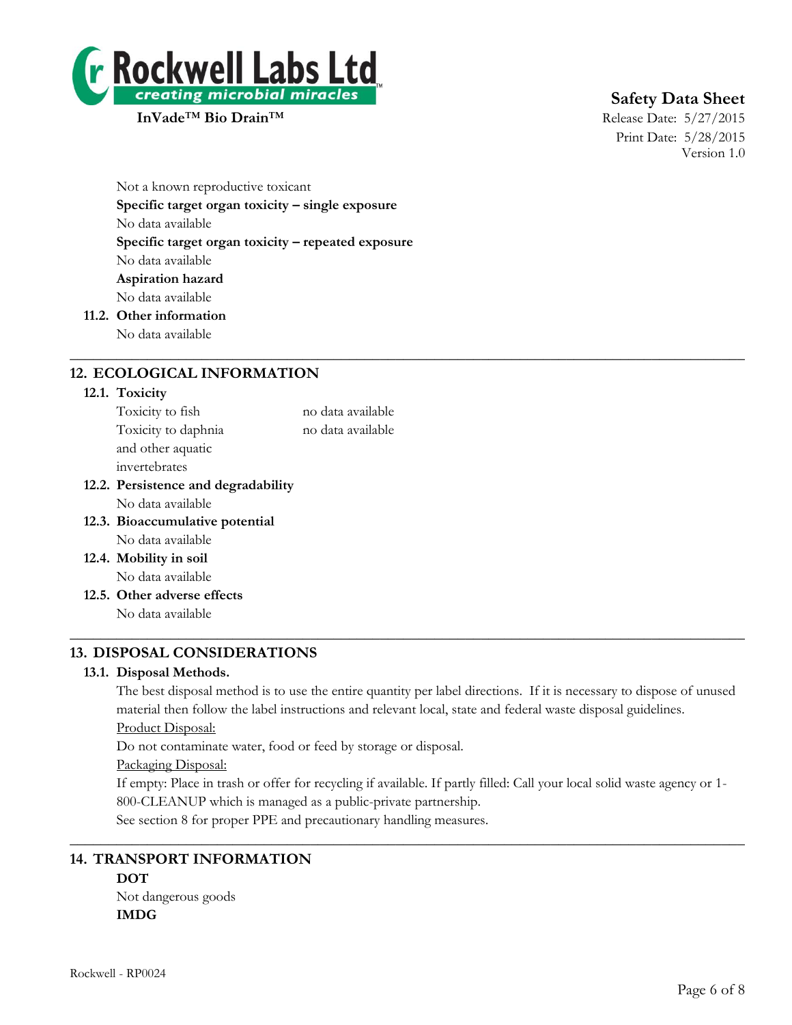

# **Safety Data Sheet**

Print Date: 5/28/2015 Version 1.0

Not a known reproductive toxicant **Specific target organ toxicity – single exposure** No data available **Specific target organ toxicity – repeated exposure** No data available **Aspiration hazard** No data available **11.2. Other information**

No data available

## **12. ECOLOGICAL INFORMATION**

#### **12.1. Toxicity**

| Toxicity to fish                    | no data available |
|-------------------------------------|-------------------|
| Toxicity to daphnia                 | no data available |
| and other aquatic                   |                   |
| invertebrates                       |                   |
| 12.2. Persistence and degradability |                   |
| No data available                   |                   |
| 12.3. Bioaccumulative potential     |                   |
| No data available                   |                   |
| 12.4. Mobility in soil              |                   |
| No data available                   |                   |
| 12.5. Other adverse effects         |                   |
| No data available                   |                   |
|                                     |                   |

## **13. DISPOSAL CONSIDERATIONS**

#### **13.1. Disposal Methods.**

The best disposal method is to use the entire quantity per label directions. If it is necessary to dispose of unused material then follow the label instructions and relevant local, state and federal waste disposal guidelines.

 $\_$  , and the set of the set of the set of the set of the set of the set of the set of the set of the set of the set of the set of the set of the set of the set of the set of the set of the set of the set of the set of th

Product Disposal:

Do not contaminate water, food or feed by storage or disposal.

#### Packaging Disposal:

If empty: Place in trash or offer for recycling if available. If partly filled: Call your local solid waste agency or 1- 800-CLEANUP which is managed as a public-private partnership.

 $\_$  , and the set of the set of the set of the set of the set of the set of the set of the set of the set of the set of the set of the set of the set of the set of the set of the set of the set of the set of the set of th

See section 8 for proper PPE and precautionary handling measures.

## **14. TRANSPORT INFORMATION**

## **DOT**

Not dangerous goods **IMDG**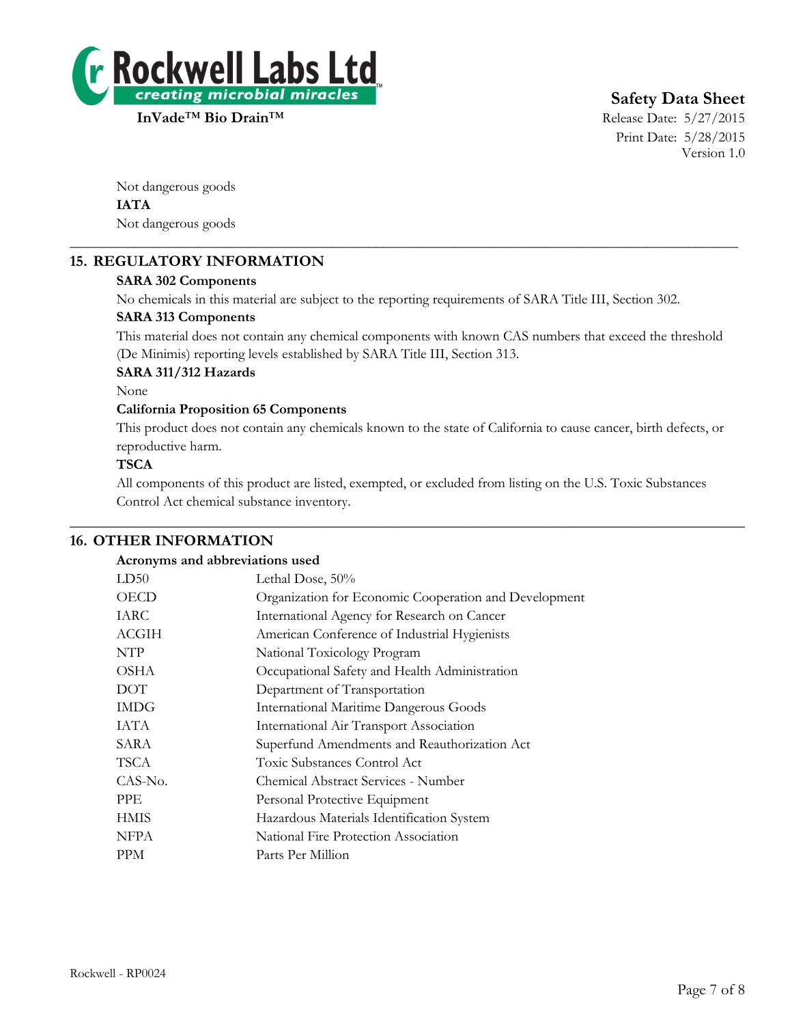

# **Safety Data Sheet**

Print Date: 5/28/2015 Version 1.0

Not dangerous goods **IATA** Not dangerous goods

## **15. REGULATORY INFORMATION**

## **SARA 302 Components**

No chemicals in this material are subject to the reporting requirements of SARA Title III, Section 302.

\_\_\_\_\_\_\_\_\_\_\_\_\_\_\_\_\_\_\_\_\_\_\_\_\_\_\_\_\_\_\_\_\_\_\_\_\_\_\_\_\_\_\_\_\_\_\_\_\_\_\_\_\_\_\_\_\_\_\_\_\_\_\_\_\_\_\_\_\_\_\_\_\_\_\_\_\_\_\_\_\_\_\_\_\_\_\_\_\_\_\_\_\_\_

#### **SARA 313 Components**

This material does not contain any chemical components with known CAS numbers that exceed the threshold (De Minimis) reporting levels established by SARA Title III, Section 313.

#### **SARA 311/312 Hazards**

None

#### **California Proposition 65 Components**

This product does not contain any chemicals known to the state of California to cause cancer, birth defects, or reproductive harm.

#### **TSCA**

All components of this product are listed, exempted, or excluded from listing on the U.S. Toxic Substances Control Act chemical substance inventory.

 $\_$  , and the set of the set of the set of the set of the set of the set of the set of the set of the set of the set of the set of the set of the set of the set of the set of the set of the set of the set of the set of th

## **16. OTHER INFORMATION**

#### **Acronyms and abbreviations used**

| LD50         | Lethal Dose, 50%                                      |
|--------------|-------------------------------------------------------|
| <b>OECD</b>  | Organization for Economic Cooperation and Development |
| IARC         | International Agency for Research on Cancer           |
| <b>ACGIH</b> | American Conference of Industrial Hygienists          |
| NTP          | National Toxicology Program                           |
| <b>OSHA</b>  | Occupational Safety and Health Administration         |
| <b>DOT</b>   | Department of Transportation                          |
| <b>IMDG</b>  | <b>International Maritime Dangerous Goods</b>         |
| IATA         | International Air Transport Association               |
| SARA         | Superfund Amendments and Reauthorization Act          |
| TSCA         | Toxic Substances Control Act                          |
| CAS-No.      | Chemical Abstract Services - Number                   |
| <b>PPE</b>   | Personal Protective Equipment                         |
| <b>HMIS</b>  | Hazardous Materials Identification System             |
| <b>NFPA</b>  | National Fire Protection Association                  |
| <b>PPM</b>   | Parts Per Million                                     |
|              |                                                       |